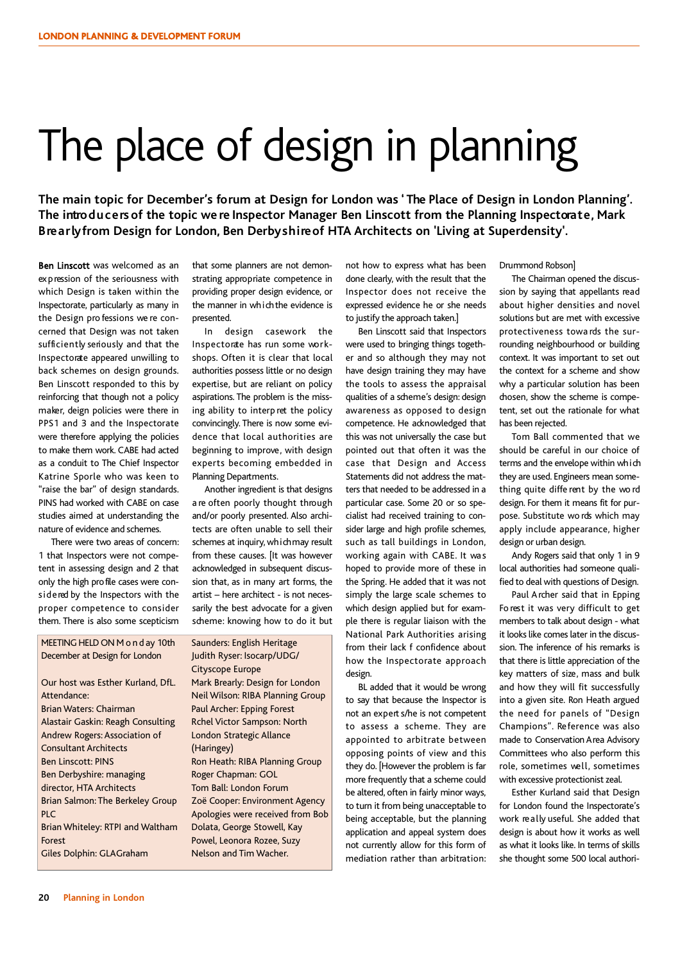# The place of design in planning

**The main topic for December's forum at Design for London was ' The Place of Design in London Planning'. The introducersof the topic we re Inspector Manager Ben Linscott from the Planning Inspectorate, Mark Brearlyfrom Design for London, Ben Derbyshireof HTA Architects on 'Living at Superdensity'.**

Ben Linscott was welcomed as an expression of the seriousness with which Design is taken within the Inspectorate, particularly as many in the Design pro fessions we re concerned that Design was not taken sufficiently seriously and that the Inspectorate appeared unwilling to back schemes on design grounds. Ben Linscott responded to this by reinforcing that though not a policy maker, deign policies were there in PPS1 and 3 and the Inspectorate were therefore applying the policies to make them work. CABE had acted as a conduit to The Chief Inspector Katrine Sporle who was keen to "raise the bar" of design standards. PINS had worked with CABE on case studies aimed at understanding the nature of evidence and schemes.

There were two areas of concern: 1 that Inspectors were not competent in assessing design and 2 that only the high profile cases were considered by the Inspectors with the proper competence to consider them. There is also some scepticism

that some planners are not demonstrating appropriate competence in providing proper design evidence, or the manner in which the evidence is presented.

In design casework the Inspectorate has run some workshops. Often it is clear that local authorities possess little or no design expertise, but are reliant on policy aspirations. The problem is the missing ability to interp ret the policy convincingly. There is now some evidence that local authorities are beginning to improve, with design experts becoming embedded in Planning Departments.

Another ingredient is that designs a re often poorly thought through and/or poorly presented. Also architects are often unable to sell their schemes at inquiry, which may result from these causes. [It was however acknowledged in subsequent discussion that, as in many art forms, the artist – here architect - is not necessarily the best advocate for a given scheme: knowing how to do it but

MEETING HELD ON M o n d ay 10th December at Design for London

Our host was Esther Kurland, DfL. Attendance: Brian Waters: Chairman Alastair Gaskin: Reagh Consulting Andrew Rogers: Association of Consultant Architects Ben Linscott: PINS Ben Derbyshire: managing director, HTA Architects Brian Salmon: The Berkeley Group  $PIC$ Brian Whiteley: RTPI and Waltham Forest Giles Dolphin: GLAGraham

Saunders: English Heritage Judith Ryser: Isocarp/UDG/ Cityscope Europe Mark Brearly: Design for London

Neil Wilson: RIBA Planning Group Paul Archer: Epping Forest Rchel Victor Sampson: North London Strategic Allance (Haringey) Ron Heath: RIBA Planning Group Roger Chapman: GOL Tom Ball: London Forum Zoë Cooper: Environment Agency Apologies were received from Bob Dolata, George Stowell, Kay Powel, Leonora Rozee, Suzy Nelson and Tim Wacher.

not how to express what has been done clearly, with the result that the Inspector does not receive the expressed evidence he or she needs to justify the approach taken.]

Ben Linscott said that Inspectors were used to bringing things together and so although they may not have design training they may have the tools to assess the appraisal qualities of a scheme's design: design awareness as opposed to design competence. He acknowledged that this was not universally the case but pointed out that often it was the case that Design and Access Statements did not address the matters that needed to be addressed in a particular case. Some 20 or so specialist had received training to consider large and high profile schemes, such as tall buildings in London, working again with CABE. It was hoped to provide more of these in the Spring. He added that it was not simply the large scale schemes to which design applied but for example there is regular liaison with the National Park Authorities arising from their lack f confidence about how the Inspectorate approach design.

BL added that it would be wrong to say that because the Inspector is not an experts/he is not competent to assess a scheme. They are appointed to arbitrate between opposing points of view and this they do. [However the problem is far more frequently that a scheme could be altered, often in fairly minor ways, to turn it from being unacceptable to being acceptable, but the planning application and appeal system does not currently allow for this form of mediation rather than arbitration: Drummond Robson]

The Chairman opened the discussion by saying that appellants read about higher densities and novel solutions but are met with excessive protectiveness towa rds the surrounding neighbourhood or building context. It was important to set out the context for a scheme and show why a particular solution has been chosen, show the scheme is competent, set out the rationale for what has been rejected.

Tom Ball commented that we should be careful in our choice of terms and the envelope within which they are used. Engineers mean something quite diffe rent by the wo rd design. For them it means fit for purpose. Substitute wo rds which may apply include appearance, higher design or urban design.

Andy Rogers said that only 1 in 9 local authorities had someone qualified to deal with questions of Design.

Paul Archer said that in Epping Fo rest it was very difficult to get members to talk about design - what it lookslike comes later in the discussion. The inference of his remarks is that there is little appreciation of the key matters of size, mass and bulk and how they will fit successfully into a given site. Ron Heath argued the need for panels of "Design Champions". Reference was also made to Conservation Area Advisory Committees who also perform this role, sometimes well, sometimes with excessive protectionist zeal.

Esther Kurland said that Design for London found the Inspectorate's work really useful. She added that design is about how it works as well as what it looks like. In terms of skills she thought some 500 local authori-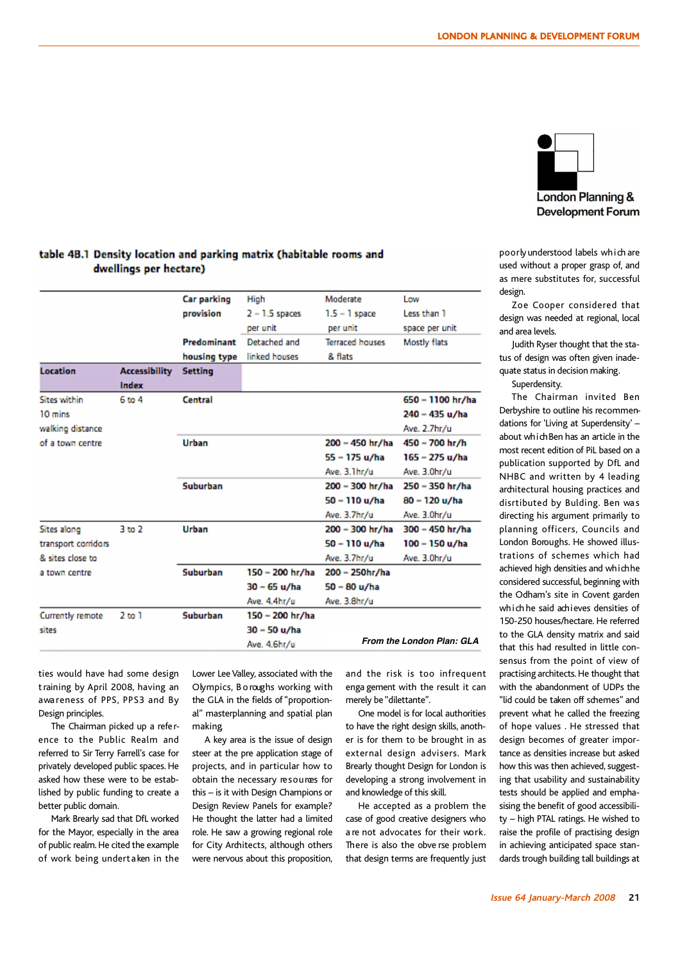

poorlyunderstood labels which are used without a proper grasp of, and as mere substitutes for, successful design.

Zoe Cooper considered that design was needed at regional, local and area levels.

Judith Ryser thought that the status of design was often given inadequate status in decision making.

Superdensity.

The Chairman invited Ben Derbyshire to outline his recommendations for 'Living at Superdensity' – about which Ben has an article in the most recent edition of PiL based on a publication supported by DfL and NHBC and written by 4 leading architectural housing practices and disrtibuted by Bulding. Ben wa s directing his argument primarily to planning officers, Councils and London Boroughs. He showed illustrations of schemes which had achieved high densities and which he considered successful, beginning with the Odham's site in Covent garden which he said achieves densities of 150-250 houses/hectare. He referred to the GLA density matrix and said that this had resulted in little consensus from the point of view of practising architects.He thought that with the abandonment of UDPs the "lid could be taken off schemes" and prevent what he called the freezing of hope values . He stressed that design becomes of greater importance as densities increase but asked how this was then achieved, suggesting that usability and sustainability tests should be applied and emphasising the benefit of good accessibility – high PTAL ratings. He wished to raise the profile of practising design in achieving anticipated space standards trough building tall buildings at

### table 4B.1 Density location and parking matrix (habitable rooms and dwellings per hectare)

|                     |                      | <b>Car parking</b> | High             | Moderate               | Low                       |
|---------------------|----------------------|--------------------|------------------|------------------------|---------------------------|
|                     |                      | provision          | $2 - 1.5$ spaces | $1.5 - 1$ space        | Less than 1               |
|                     |                      |                    | per unit         | per unit               | space per unit            |
|                     |                      | Predominant        | Detached and     | <b>Terraced houses</b> | Mostly flats              |
|                     |                      | housing type       | linked houses    | & flats                |                           |
| <b>Location</b>     | <b>Accessibility</b> | <b>Setting</b>     |                  |                        |                           |
|                     | Index                |                    |                  |                        |                           |
| <b>Sites within</b> | 6 to 4               | Central            |                  |                        | 650 - 1100 hr/ha          |
| 10 mins             |                      |                    |                  |                        | 240 - 435 u/ha            |
| walking distance    |                      |                    |                  |                        | Ave. 2.7hr/u              |
| of a town centre    |                      | <b>Urban</b>       |                  | 200 - 450 hr/ha        | $450 - 700$ hr/h          |
|                     |                      |                    |                  | 55 – 175 u/ha          | 165 - 275 u/ha            |
|                     |                      |                    |                  | Ave. 3.1hr/u           | Ave. 3.0hr/u              |
|                     |                      | <b>Suburban</b>    |                  | 200 - 300 hr/ha        | 250 - 350 hr/ha           |
|                     |                      |                    |                  | 50 - 110 u/ha          | 80 - 120 u/ha             |
|                     |                      |                    |                  | Ave. 3.7hr/u           | Ave. 3.0hr/u              |
| Sites along         | 3 <sub>to</sub> 2    | Urban              |                  | 200 - 300 hr/ha        | 300 - 450 hr/ha           |
| transport corridors |                      |                    |                  | 50 - 110 u/ha          | 100 - 150 u/ha            |
| & sites close to    |                      |                    |                  | Ave. 3.7hr/u           | Ave. 3.0hr/u              |
| a town centre       |                      | <b>Suburban</b>    | 150 - 200 hr/ha  | 200 - 250hr/ha         |                           |
|                     |                      |                    | $30 - 65$ u/ha   | 50 - 80 u/ha           |                           |
|                     |                      |                    | Ave. 4.4hr/u     | Ave. 3.8hr/u           |                           |
| Currently remote    | 2 <sub>to</sub> 1    | Suburban           | 150 - 200 hr/ha  |                        |                           |
| sites               |                      |                    | 30 - 50 u/ha     |                        |                           |
|                     |                      |                    | Ave. 4.6hr/u     |                        | From the London Plan: GLA |
|                     |                      |                    |                  |                        |                           |

ties would have had some design training by April 2008, having an awa reness of PPS, PPS3 and By Design principles.

The Chairman picked up a reference to the Public Realm and referred to Sir Terry Farrell's case for privately developed public spaces.He asked how these were to be established by public funding to create a better public domain.

Mark Brearly sad that DfL worked for the Mayor, especially in the area of public realm.He cited the example of work being undertaken in the Lower Lee Valley, associated with the Olympics, B o roughs working with the GLA in the fields of"proportional" masterplanning and spatial plan making.

A key area is the issue of design steer at the pre application stage of projects, and in particular how to obtain the necessary resources for this – is it with Design Champions or Design Review Panels for example? He thought the latter had a limited role. He saw a growing regional role for City Architects, although others were nervous about this proposition,

and the risk is too infrequent enga gement with the result it can merely be "dilettante".

One model is for local authorities to have the right design skills, another is for them to be brought in as external design advisers. Mark Brearly thought Design for London is developing a strong involvement in and knowledge of this skill.

He accepted as a problem the case of good creative designers who a re not advocates for their work. There is also the obve rse problem that design terms are frequently just